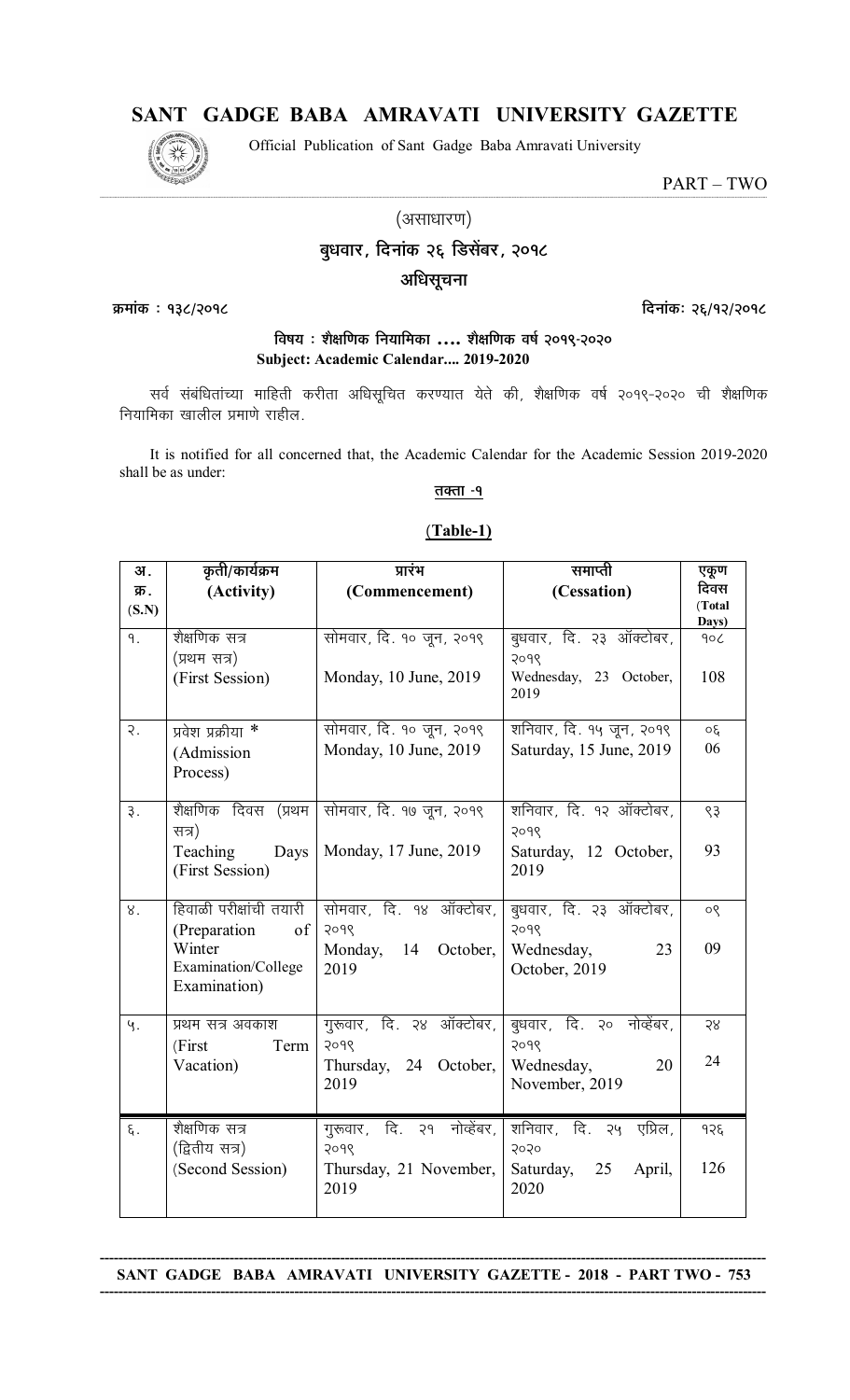# SANT GADGE BABA AMRAVATI UNIVERSITY GAZETTE

Official Publication of Sant Gadge Baba Amravati University



PART-TWO

(असाधारण)

## बुधवार, दिनांक २६ डिसेंबर, २०१८

## अधिसूचना

क्रमांक: १३८/२०१८

दिनांकः २६/१२/२०१८

## विषय : शैक्षणिक नियामिका .... शैक्षणिक वर्ष २०१९-२०२० Subject: Academic Calendar.... 2019-2020

सर्व संबंधितांच्या माहिती करीता अधिसूचित करण्यात येते की, शैक्षणिक वर्ष २०१९-२०२० ची शैक्षणिक नियामिका खालील प्रमाणे राहील.

It is notified for all concerned that, the Academic Calendar for the Academic Session 2019-2020 shall be as under:

## <u>तक्ता -१</u>

#### $(Table-1)$

| अ.               | कृती/कार्यक्रम                                 | प्रारंभ                                       | समाप्ती                                   | एकूण                    |
|------------------|------------------------------------------------|-----------------------------------------------|-------------------------------------------|-------------------------|
| क्र.<br>(S.N)    | (Activity)                                     | (Commencement)                                | (Cessation)                               | दिवस<br>(Total<br>Days) |
| ٩.               | शैक्षणिक सत्र<br>(प्रथम सत्र)                  | सोमवार, दि. १० जून, २०१९                      | बुधवार, दि. २३ ऑक्टोबर,<br>२०१९           | 90 <sub>C</sub>         |
|                  | (First Session)                                | Monday, 10 June, 2019                         | Wednesday, 23 October,<br>2019            | 108                     |
| $\overline{R}$ . | प्रवेश प्रक्रीया *                             | सोमवार, दि. १० जून, २०१९                      | शनिवार, दि. १५ जून, २०१९                  | οξ                      |
|                  | (Admission<br>Process)                         | Monday, 10 June, 2019                         | Saturday, 15 June, 2019                   | 06                      |
| $\overline{3}$ . | सत्र)                                          | शैक्षणिक दिवस (प्रथम सोमवार, दि. १७ जून, २०१९ | शनिवार, दि. १२ ऑक्टोबर,<br>२०१९           | $\zeta$                 |
|                  | Teaching<br>Days<br>(First Session)            | Monday, 17 June, 2019                         | Saturday, 12 October,<br>2019             | 93                      |
| 8.               | हिवाळी परीक्षांची तयारी<br>(Preparation)<br>of | सोमवार, दि. १४ ऑक्टोबर,<br>२०१९               | बुधवार, दि. २३ ऑक्टोबर,<br>२०१९           | 90                      |
|                  | Winter<br>Examination/College<br>Examination)  | Monday,<br>14 October,<br>2019                | Wednesday,<br>23<br>October, 2019         | 09                      |
| Ч.               | प्रथम सत्र अवकाश                               | गुरूवार, दि. २४ ऑक्टोबर,                      | बुधवार, दि. २० नोव्हेंबर,                 | 58                      |
|                  | (First)<br>Term<br>Vacation)                   | 2098<br>Thursday, 24 October,                 | 2098<br>Wednesday,<br>20                  | 24                      |
|                  |                                                | 2019                                          | November, 2019                            |                         |
| $\xi$ .          | शैक्षणिक सत्र<br>(द्वितीय सत्र)                | गुरूवार, दि. २१ नोव्हेंबर,                    | शनिवार, दि. २५<br>एप्रिल,                 | 938                     |
|                  | (Second Session)                               | २०१९<br>Thursday, 21 November,<br>2019        | 5050<br>Saturday,<br>25<br>April,<br>2020 | 126                     |

#### SANT GADGE BABA AMRAVATI UNIVERSITY GAZETTE - 2018 - PART TWO - 753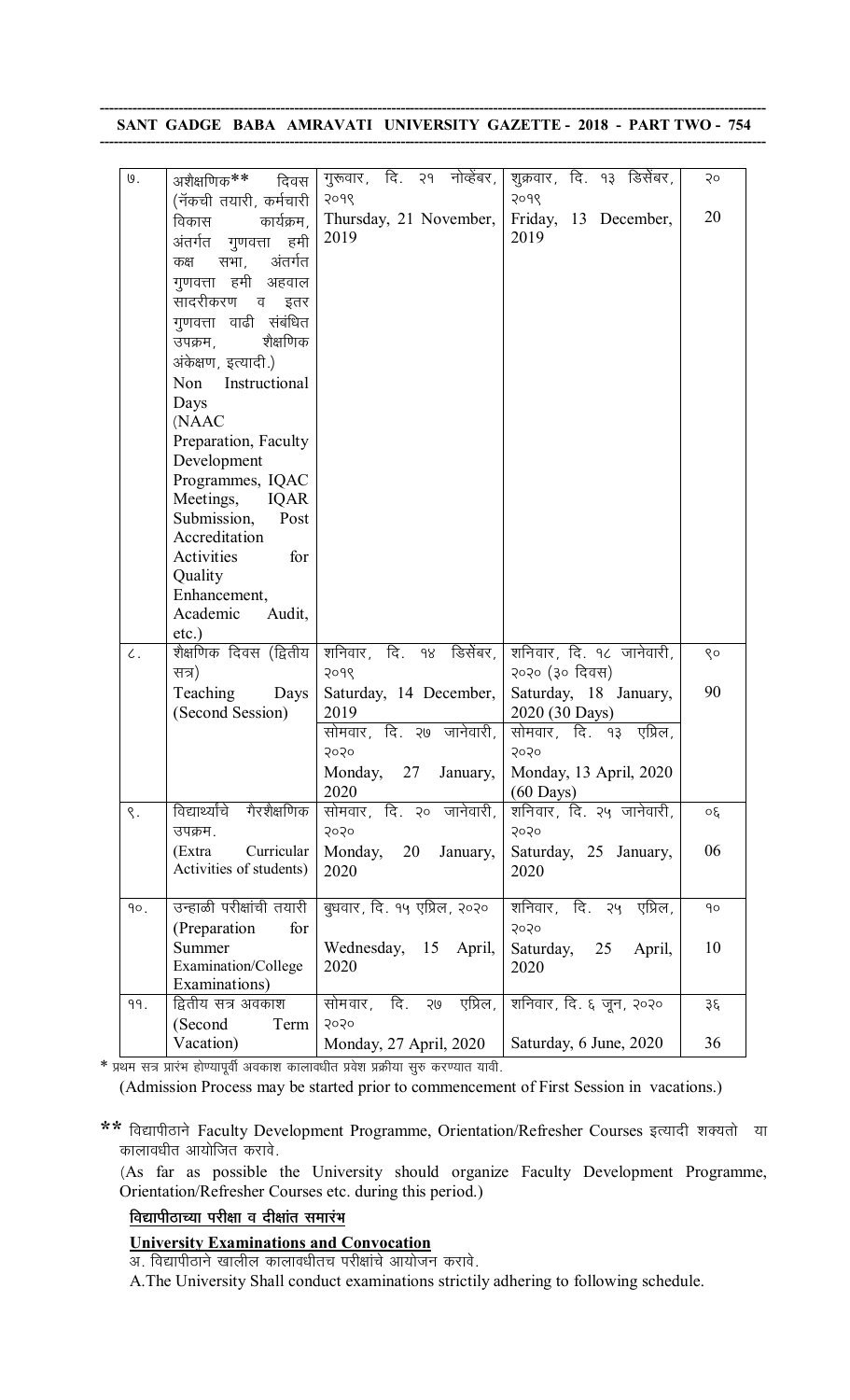**------------------------------------------------------------------------------------------------------------------------------------------------ SANT GADGE BABA AMRAVATI UNIVERSITY GAZETTE - 2018 - PART TWO - 754 ------------------------------------------------------------------------------------------------------------------------------------------------**

| $\theta$ . | अशैक्षणिक**<br>दिवस                             | गुरूवार, दि. २१ नोव्हेंबर,                   | शुक्रवार, दि. १३ डिसेंबर, | Qo           |
|------------|-------------------------------------------------|----------------------------------------------|---------------------------|--------------|
|            | (नॅकची तयारी, कर्मचारी                          | २०१९                                         | 9098                      |              |
|            | कार्यक्रम,<br>विकास                             | Thursday, 21 November,                       | Friday, 13 December,      | 20           |
|            | अंतर्गत गुणवत्ता<br>हमी                         | 2019                                         | 2019                      |              |
|            | अंतर्गत<br>सभा,<br>कक्ष                         |                                              |                           |              |
|            | गूणवत्ता हमी अहवाल                              |                                              |                           |              |
|            | सादरीकरण व<br>इतर                               |                                              |                           |              |
|            | गुणवत्ता वाढी संबंधित                           |                                              |                           |              |
|            | शैक्षणिक<br>उपक्रम,                             |                                              |                           |              |
|            | अंकेक्षण, इत्यादी.)                             |                                              |                           |              |
|            | Non<br>Instructional                            |                                              |                           |              |
|            | Days                                            |                                              |                           |              |
|            | (NAAC                                           |                                              |                           |              |
|            | Preparation, Faculty                            |                                              |                           |              |
|            | Development                                     |                                              |                           |              |
|            | Programmes, IQAC                                |                                              |                           |              |
|            | Meetings,<br><b>IQAR</b>                        |                                              |                           |              |
|            | Submission,<br>Post                             |                                              |                           |              |
|            | Accreditation<br>Activities<br>for              |                                              |                           |              |
|            | Quality                                         |                                              |                           |              |
|            | Enhancement,                                    |                                              |                           |              |
|            | Academic<br>Audit,                              |                                              |                           |              |
|            | $etc.$ )                                        |                                              |                           |              |
| $\zeta$ .  | शैक्षणिक दिवस (द्वितीय                          | शनिवार, दि. १४ डिसेंबर,                      | शनिवार, दि. १८ जानेवारी,  | $\gamma$     |
|            | सत्र)                                           | २०१९                                         | २०२० (३० दिवस)            |              |
|            | Teaching<br>Days                                | Saturday, 14 December,                       | Saturday, 18 January,     | 90           |
|            | (Second Session)                                | 2019                                         | 2020 (30 Days)            |              |
|            |                                                 | सोमवार, दि. २७ जानेवारी,                     | सोमवार, दि. १३ एप्रिल,    |              |
|            |                                                 | 5050                                         | 5050                      |              |
|            |                                                 | Monday, 27<br>January,                       | Monday, 13 April, 2020    |              |
|            |                                                 | 2020                                         | $(60 \text{ Days})$       |              |
| $\zeta$ .  | विद्यार्थ्यांचे<br>गैरशैक्षणिक                  | सोमवार, दि. २० जानेवारी,                     | शनिवार, दि. २५ जानेवारी,  | $30^{\circ}$ |
|            | उपक्रम.                                         | 5050                                         | 5050                      |              |
|            | Curricular<br>(Extra<br>Activities of students) | Monday,<br>20<br>January,                    | Saturday, 25 January,     | 06           |
|            |                                                 | 2020                                         | 2020                      |              |
| 90.        | उन्हाळी परीक्षांची तयारी                        | बुधवार, दि. १५ एप्रिल, २०२०                  | शनिवार, दि. २५ एप्रिल,    | $90^{\circ}$ |
|            | (Preparation<br>for                             |                                              | 5050                      |              |
|            | Summer                                          | Wednesday, 15 April,                         | Saturday, 25<br>April,    | 10           |
|            | Examination/College                             | 2020                                         | 2020                      |              |
|            | Examinations)                                   |                                              |                           |              |
| 99.        | द्वितीय सत्र अवकाश                              | दि.<br>एप्रिल,<br>सोमवार,<br>20 <sub>9</sub> | शनिवार, दि. ६ जून, २०२०   | ३६           |
|            | (Second<br>Term                                 | 5050                                         |                           |              |
|            | Vacation)                                       | Monday, 27 April, 2020                       | Saturday, 6 June, 2020    | 36           |

\* प्रथम सत्र प्रारंभ होण्यापूर्वी अवकाश कालावधीत प्रवेश प्रक्रीया सुरु करण्यात यावी.

(Admission Process may be started prior to commencement of First Session in vacations.)

\*\* विद्यापीठाने Faculty Development Programme, Orientation/Refresher Courses इत्यादी शक्यतो या कालावधीत आयोजित करावे.

 (As far as possible the University should organize Faculty Development Programme, Orientation/Refresher Courses etc. during this period.)

#### <u>विद्यापीठाच्या परीक्षा व दीक्षांत समारंभ</u>

#### **University Examinations and Convocation**

आ. विद्यापीठाने खालील कालावधीतच परीक्षांचे आयोजन करावे.

A.The University Shall conduct examinations strictily adhering to following schedule.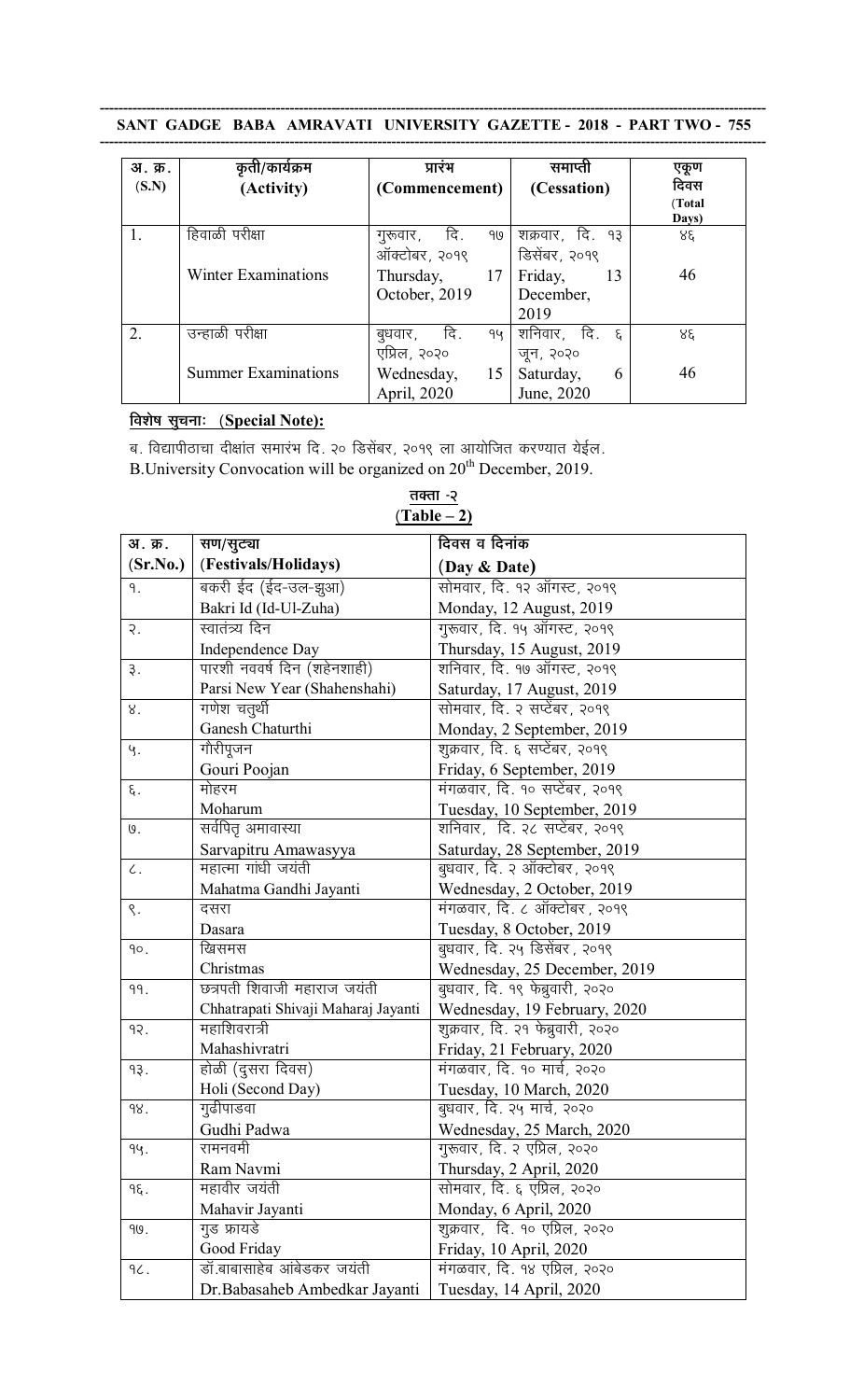|  |  | SANT GADGE BABA AMRAVATI UNIVERSITY GAZETTE - 2018 - PART TWO - 755 |  |  |
|--|--|---------------------------------------------------------------------|--|--|
|  |  |                                                                     |  |  |

| अ. क्र.<br>(S.N) | कृती/कार्यक्रम<br>(Activity) | प्रारंभ<br>(Commencement)               | समाप्ती<br>(Cessation)             | एकूण<br>दिवस<br>(Total<br>Days) |
|------------------|------------------------------|-----------------------------------------|------------------------------------|---------------------------------|
|                  | हिवाळी परीक्षा               | दि.<br>गुरूवार,<br>919<br>ऑक्टोबर, २०१९ | शक्रवार, दि. १३<br>डिसेंबर, २०१९   | ४६                              |
|                  | <b>Winter Examinations</b>   | Thursday,<br>17<br>October, 2019        | Friday,<br>13<br>December,<br>2019 | 46                              |
| 2.               | उन्हाळी परीक्षा              | िदि .<br>बुधवार ,<br>94<br>एप्रिल, २०२० | शनिवार, दि. ६<br>जून, २०२०         | 88                              |
|                  | <b>Summer Examinations</b>   | Wednesday,<br>15<br>April, 2020         | Saturday,<br>6<br>June, 2020       | 46                              |

# **<u>विशेष सुचनाः (Special Note):</u>**

ब. विद्यापीठाचा दीक्षांत समारंभ दि. २० डिसेंबर, २०१९ ला आयोजित करण्यात येईल.

B. University Convocation will be organized on 20<sup>th</sup> December, 2019.

| अ. क्र.    | सण/सुट्या                           | दिवस व दिनांक                     |
|------------|-------------------------------------|-----------------------------------|
| (Sr.No.)   | (Festivals/Holidays)                | (Day & Date)                      |
| ٩.         | बकरी ईद (ईद-उल-झुआ)                 | सोमवार, दि. १२ ऑगस्ट, २०१९        |
|            | Bakri Id (Id-Ul-Zuha)               | Monday, 12 August, 2019           |
| २.         | स्वातंत्र्य दिन                     | गुरूवार, दि. १५ ऑगस्ट, २०१९       |
|            | Independence Day                    | Thursday, 15 August, 2019         |
| 3.         | पारशी नववर्ष दिन (शहेनशाही)         | शनिवार, दि. १७ ऑगस्ट, २०१९        |
|            | Parsi New Year (Shahenshahi)        | Saturday, 17 August, 2019         |
| 8.         | गणेश चतुर्थी                        | सोमवार, दि. २ सप्टेंबर, २०१९      |
|            | Ganesh Chaturthi                    | Monday, 2 September, 2019         |
| Ч.         | गौरीपूजन                            | शुक्रवार, दि. ६ सप्टेंबर, २०१९    |
|            | Gouri Poojan                        | Friday, 6 September, 2019         |
| ξ.         | मोहरम                               | मंगळवार, दि. १० सप्टेंबर, २०१९    |
|            | Moharum                             | Tuesday, 10 September, 2019       |
| $\theta$ . | सर्वपितृ अमावास्या                  | शनिवार, दि. २८ सप्टेंबर, २०१९     |
|            | Sarvapitru Amawasyya                | Saturday, 28 September, 2019      |
| $\zeta$ .  | महात्मा गांधी जयंती                 | बुधवार, दि. २ ऑक्टोबर, २०१९       |
|            | Mahatma Gandhi Jayanti              | Wednesday, 2 October, 2019        |
| ς.         | दसरा                                | मंगळवार, दि. ८ ऑक्टोबर, २०१९      |
|            | Dasara                              | Tuesday, 8 October, 2019          |
| 90.        | खिसमस                               | बुधवार, दि. २५ डिसेंबर, २०१९      |
|            | Christmas                           | Wednesday, 25 December, 2019      |
| 99.        | छत्रपती शिवाजी महाराज जयंती         | बुधवार, दि. १९ फेब्रुवारी, २०२०   |
|            | Chhatrapati Shivaji Maharaj Jayanti | Wednesday, 19 February, 2020      |
| 9२.        | महाशिवरात्री                        | शुक्रवार, दि. २१ फेब्रुवारी, २०२० |
|            | Mahashivratri                       | Friday, 21 February, 2020         |
| 93.        | होळी (दुसरा दिवस)                   | मंगळवार, दि. १० मार्च, २०२०       |
|            | Holi (Second Day)                   | Tuesday, 10 March, 2020           |
| 98.        | गुढीपाडवा                           | बुधवार, दि. २५ मार्च, २०२०        |
|            | Gudhi Padwa                         | Wednesday, 25 March, 2020         |
| 94.        | रामनवमी                             | गुरूवार, दि. २ एप्रिल, २०२०       |
|            | Ram Navmi                           | Thursday, 2 April, 2020           |
| ٩ξ.        | महावीर जयंती                        | सोमवार, दि. ६ एप्रिल, २०२०        |
|            | Mahavir Jayanti                     | Monday, 6 April, 2020             |
| 90.        | गुड फ्रायडे                         | शुक्रवार, दि. १० एप्रिल, २०२०     |
|            | Good Friday                         | Friday, 10 April, 2020            |
| 96.        | डॉ बाबासाहेब आंबेडकर जयंती          | मंगळवार, दि. १४ एप्रिल, २०२०      |
|            | Dr.Babasaheb Ambedkar Jayanti       | Tuesday, 14 April, 2020           |

<u>तक्ता -२</u> **(Table – 2)**